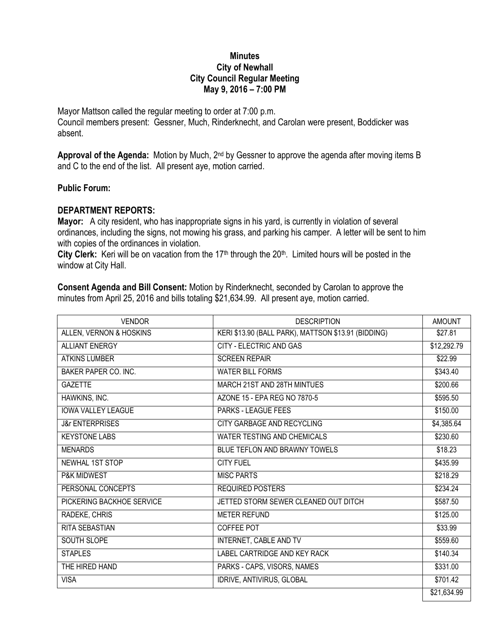## **Minutes City of Newhall City Council Regular Meeting May 9, 2016 – 7:00 PM**

Mayor Mattson called the regular meeting to order at 7:00 p.m. Council members present: Gessner, Much, Rinderknecht, and Carolan were present, Boddicker was absent.

**Approval of the Agenda:** Motion by Much, 2nd by Gessner to approve the agenda after moving items B and C to the end of the list. All present aye, motion carried.

## **Public Forum:**

## **DEPARTMENT REPORTS:**

**Mayor:** A city resident, who has inappropriate signs in his yard, is currently in violation of several ordinances, including the signs, not mowing his grass, and parking his camper. A letter will be sent to him with copies of the ordinances in violation.

City Clerk: Keri will be on vacation from the 17<sup>th</sup> through the 20<sup>th</sup>. Limited hours will be posted in the window at City Hall.

**Consent Agenda and Bill Consent:** Motion by Rinderknecht, seconded by Carolan to approve the minutes from April 25, 2016 and bills totaling \$21,634.99. All present aye, motion carried.

| <b>VENDOR</b>              | <b>DESCRIPTION</b>                                  | <b>AMOUNT</b> |
|----------------------------|-----------------------------------------------------|---------------|
| ALLEN, VERNON & HOSKINS    | KERI \$13.90 (BALL PARK), MATTSON \$13.91 (BIDDING) | \$27.81       |
| <b>ALLIANT ENERGY</b>      | <b>CITY - ELECTRIC AND GAS</b>                      | \$12,292.79   |
| <b>ATKINS LUMBER</b>       | <b>SCREEN REPAIR</b>                                | \$22.99       |
| BAKER PAPER CO. INC.       | <b>WATER BILL FORMS</b>                             | \$343.40      |
| <b>GAZETTE</b>             | MARCH 21ST AND 28TH MINTUES                         | \$200.66      |
| HAWKINS, INC.              | AZONE 15 - EPA REG NO 7870-5                        | \$595.50      |
| <b>IOWA VALLEY LEAGUE</b>  | PARKS - LEAGUE FEES                                 | \$150.00      |
| <b>J&amp;r ENTERPRISES</b> | CITY GARBAGE AND RECYCLING                          | \$4,385.64    |
| <b>KEYSTONE LABS</b>       | <b>WATER TESTING AND CHEMICALS</b>                  | \$230.60      |
| <b>MENARDS</b>             | BLUE TEFLON AND BRAWNY TOWELS                       | \$18.23       |
| <b>NEWHAL 1ST STOP</b>     | <b>CITY FUEL</b>                                    | \$435.99      |
| <b>P&amp;K MIDWEST</b>     | <b>MISC PARTS</b>                                   | \$218.29      |
| PERSONAL CONCEPTS          | <b>REQUIRED POSTERS</b>                             | \$234.24      |
| PICKERING BACKHOE SERVICE  | JETTED STORM SEWER CLEANED OUT DITCH                | \$587.50      |
| RADEKE, CHRIS              | <b>METER REFUND</b>                                 | \$125.00      |
| <b>RITA SEBASTIAN</b>      | COFFEE POT                                          | \$33.99       |
| SOUTH SLOPE                | INTERNET, CABLE AND TV                              | \$559.60      |
| <b>STAPLES</b>             | <b>LABEL CARTRIDGE AND KEY RACK</b>                 | \$140.34      |
| THE HIRED HAND             | PARKS - CAPS, VISORS, NAMES                         | \$331.00      |
| <b>VISA</b>                | IDRIVE, ANTIVIRUS, GLOBAL                           | \$701.42      |
|                            |                                                     | \$21,634.99   |